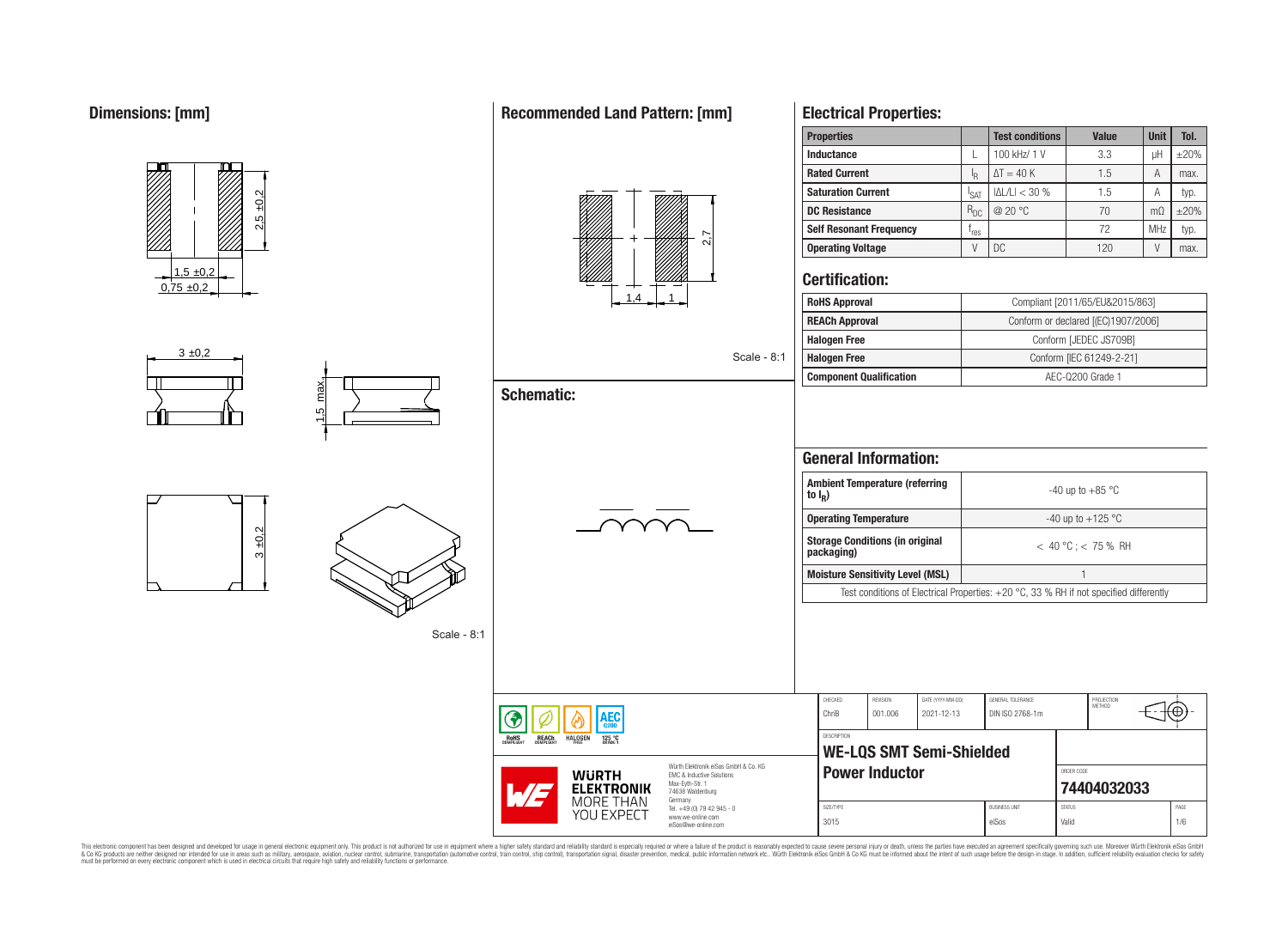#### **Properties Test conditions Value Unit Tol. Inductance**  $\left| L \right| 100$  kHz/ 1 V  $\left| 3.3 \right| 1$   $\left| H \right| \pm 20\%$ **Rated Current** I I<sub>R</sub>  $\Delta T = 40 \text{ K}$  1.5 A max. **Saturation Current**  $\left| \right|_{\text{SAT}}$  $|\Delta L/L| < 30\%$  1.5 A typ.  $2,5 \pm 0,2$ **DC Resistance** R<sub>DC</sub> @ 20 °C 70 mΩ ±20% **Self Resonant Frequency** | f<sub>res</sub>  $r_{res}$   $72$  MHz typ.  $\frac{2}{\alpha}$ **Operating Voltage V** V DC 120 V max.  $1.5 \pm 0.2$ **Certification:**  $0.75 \pm 0.2$ 1,4 1 **RoHS Approval Robert Compliant [2011/65/EU&2015/863] REACh Approval** Conform or declared [(EC)1907/2006] **Halogen Free Conform [JEDEC JS709B]**  $3 \pm 0,2$ Scale - 8:1 **Halogen Free** Conform [IEC 61249-2-21] **Component Qualification AEC-Q200 Grade 1** 5 max. **Schematic: General Information: Ambient Temperature (referring** -40 up to  $+85$  °C **to I<sup>R</sup> ) Operating Temperature 1** and 125 °C  $3 ± 0.2$ **Storage Conditions (in original packaging)** < 40 °C ; < 75 % RH **Moisture Sensitivity Level (MSL)** 1 Test conditions of Electrical Properties: +20 °C, 33 % RH if not specified differently Scale - 8:1 CHECKED REVISION DATE (YYYY-MM-DD) GENERAL TOLERANCE PROJECTION<br>METHOD ChriB 001.006 2021-12-13 DIN ISO 2768-1m ۱EС **DESCRIPTION** RoHS **REACH HALOGEN**  $125 °C$ **WE-LQS SMT Semi-Shielded** Würth Elektronik eiSos GmbH & Co. KG **Power Inductor CONDER CODE ROOF WURTH** EMC & Inductive Solutions Max-Eyth-Str. 1 **[74404032033](https://www.we-online.com/catalog/en/article/74404032033) ELEKTRONIK** 74638 Waldenburg MORE THAN Germany Tel. +49 (0) 79 42 945 - 0 SIZE/TYPE BUSINESS UNIT STATUS PAGE YOU EXPECT www.we-online.com 3015 eiSos Valid 1/6 eiSos@we-online.com

**Electrical Properties:**

This electronic component has been designed and developed for usage in general electronic equipment only. This product is not authorized for use in equipment where a higher safely standard and reliability standard si espec & Ook product a label and the membed of the seasuch as marked and as which such a membed and the such assume that income in the seasuch and the simulation and the such assume that include to the such a membed and the such

## **Recommended Land Pattern: [mm]**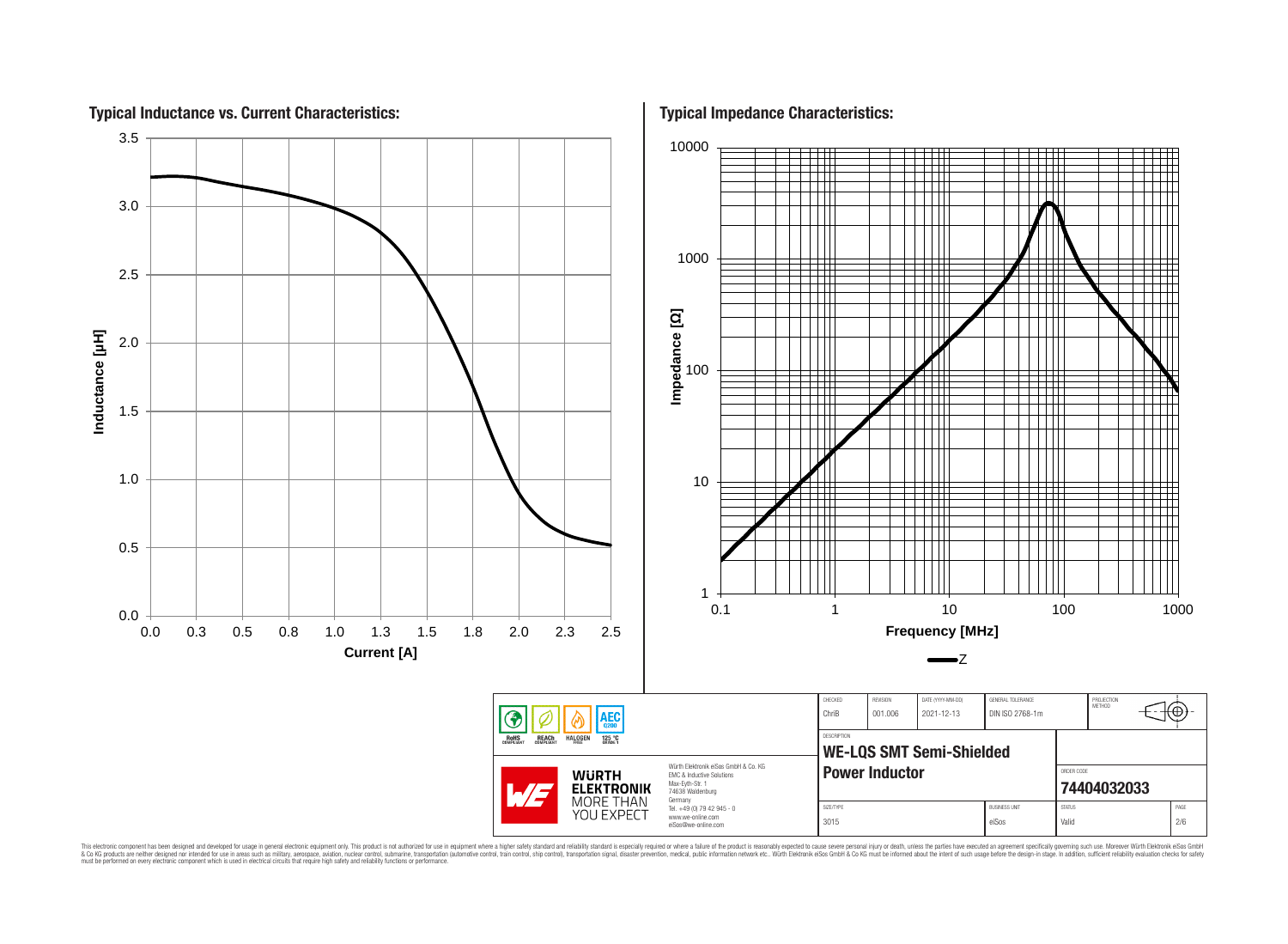

This electronic component has been designed and developed for usage in general electronic equipment only. This product is not authorized for use in equipment where a higher safely standard and reliability standard si espec & Ook product a label and the membed of the seasuch as marked and as which such a membed and the such assume that income in the seasuch and the simulation and the such assume that include to the such a membed and the such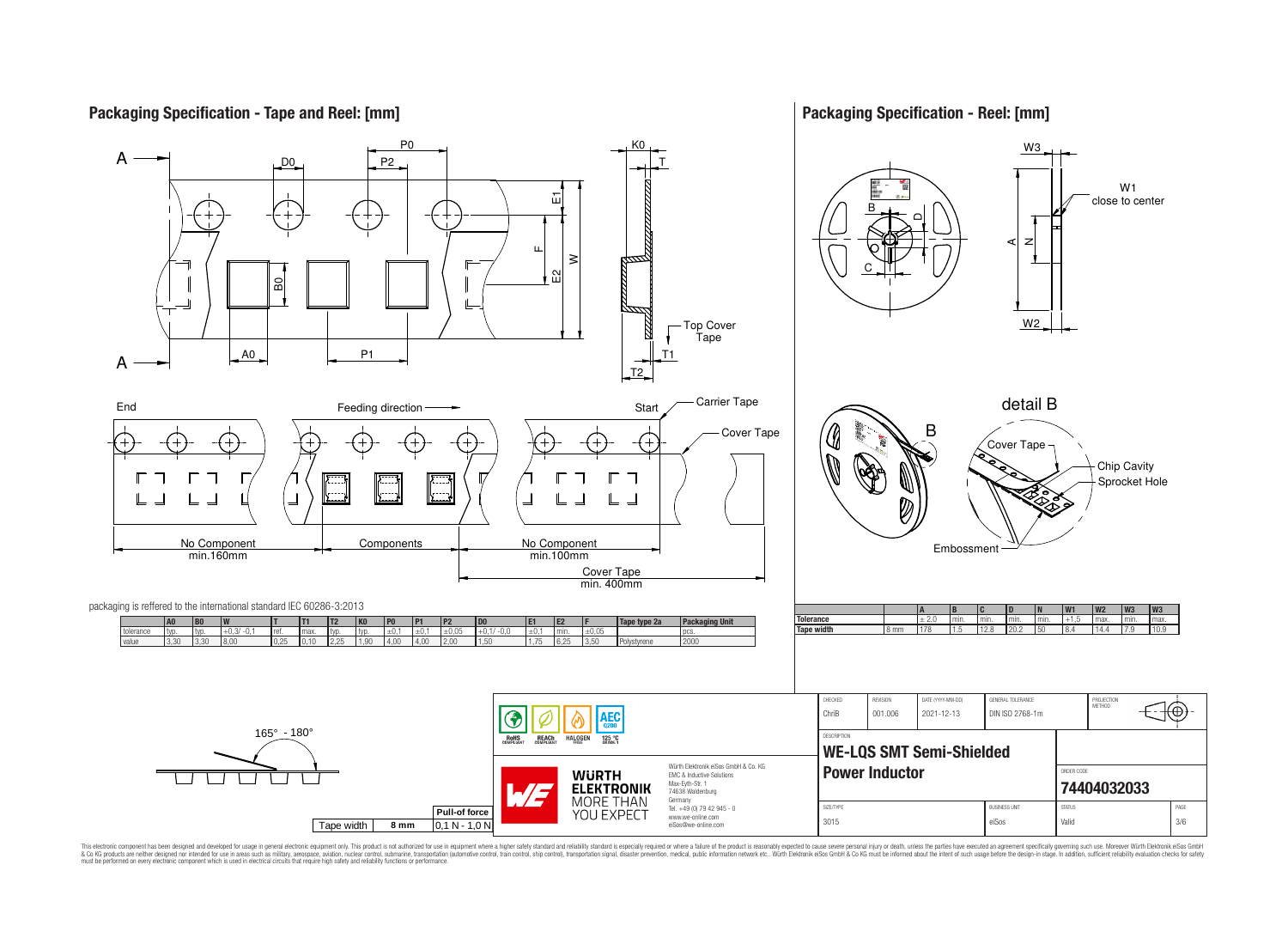

This electronic component has been designed and developed for usage in general electronic equipment only. This product is not authorized for use in equipment where a higher safely standard and reliability standard si espec & Ook product a label and the membed of the seasuch as marked and as which such a membed and the such assume that income in the seasuch and the simulation and the such assume that include to the such a membed and the such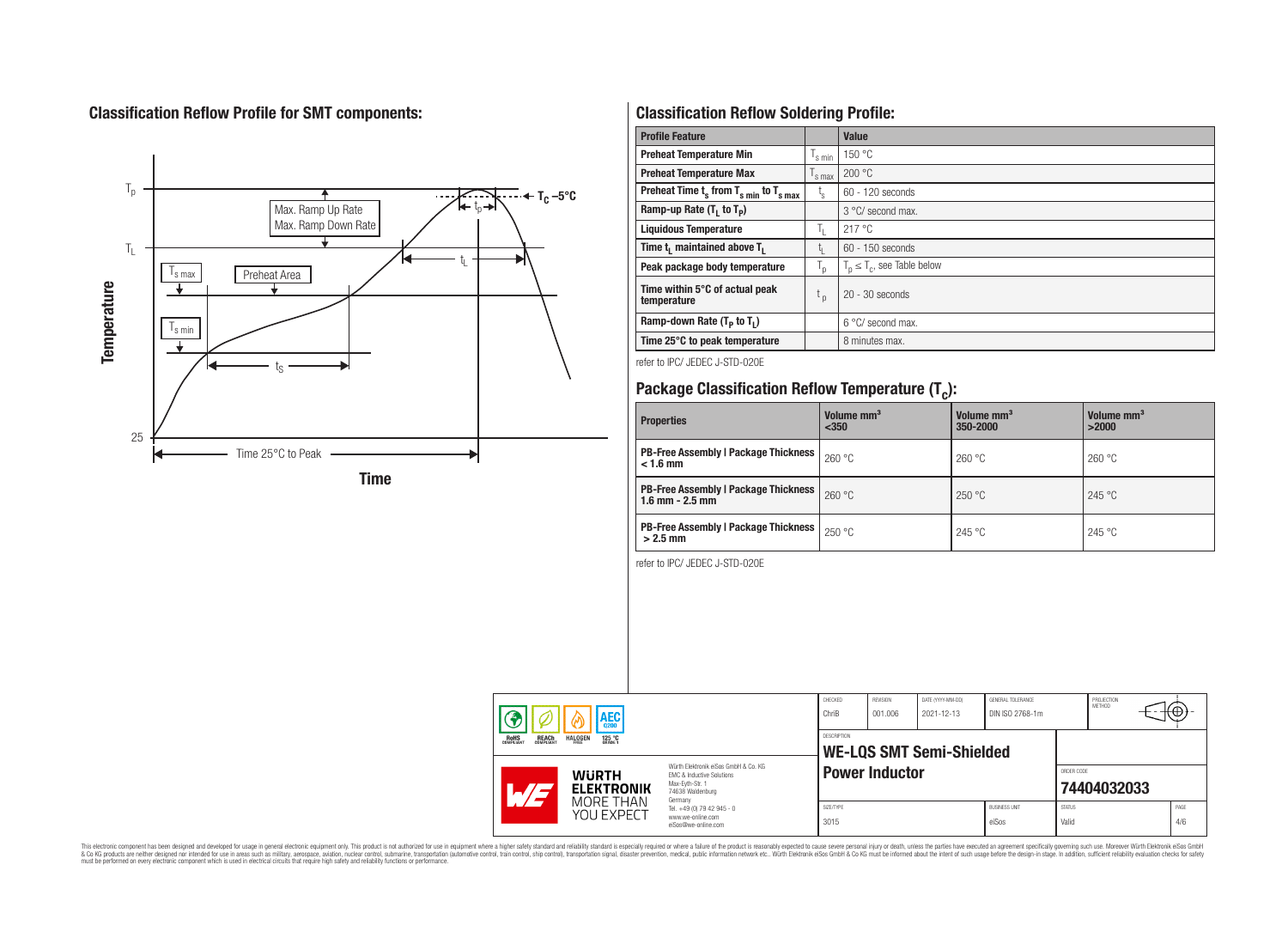## **Classification Reflow Profile for SMT components:**



## **Classification Reflow Soldering Profile:**

| <b>Profile Feature</b>                              |                    | <b>Value</b>                     |
|-----------------------------------------------------|--------------------|----------------------------------|
| <b>Preheat Temperature Min</b>                      | s min              | 150 °C                           |
| <b>Preheat Temperature Max</b>                      | <sup>I</sup> s max | 200 °C                           |
| Preheat Time $t_s$ from $T_{s min}$ to $T_{s max}$  | $t_{\rm s}$        | $60 - 120$ seconds               |
| Ramp-up Rate $(T_1$ to $T_p$ )                      |                    | 3 °C/ second max.                |
| <b>Liquidous Temperature</b>                        | T <sub>L</sub>     | 217°C                            |
| Time t <sub>1</sub> maintained above T <sub>1</sub> | t,                 | 60 - 150 seconds                 |
| Peak package body temperature                       | ' p                | $T_p \leq T_c$ , see Table below |
| Time within 5°C of actual peak<br>temperature       | t <sub>p</sub>     | $20 - 30$ seconds                |
| Ramp-down Rate $(T_p$ to $T_1$ )                    |                    | $6^{\circ}$ C/ second max.       |
| Time 25°C to peak temperature                       |                    | 8 minutes max.                   |

refer to IPC/ JEDEC J-STD-020E

# **Package Classification Reflow Temperature (T<sup>c</sup> ):**

| <b>Properties</b>                                                    | Volume mm <sup>3</sup><br>< 350 | Volume mm <sup>3</sup><br>350-2000 | Volume mm <sup>3</sup><br>>2000 |
|----------------------------------------------------------------------|---------------------------------|------------------------------------|---------------------------------|
| <b>PB-Free Assembly   Package Thickness  </b><br>$< 1.6$ mm          | 260 °C                          | 260 °C                             | 260 °C                          |
| <b>PB-Free Assembly   Package Thickness  </b><br>$1.6$ mm $- 2.5$ mm | 260 °C                          | 250 °C                             | 245 °C                          |
| <b>PB-Free Assembly   Package Thickness  </b><br>$>2.5$ mm           | 250 °C                          | 245 °C                             | 245 °C                          |

refer to IPC/ JEDEC J-STD-020E

| AEC<br><b>REACH</b><br>COMPLIANT<br><b>HALOGEN</b><br>125 °C<br>ROHS<br>COMPLIANT |                                                                | CHECKED<br>ChriB                               | <b>REVISION</b><br>001.006                                                                                          | DATE (YYYY-MM-DD)<br>2021-12-13 | GENERAL TOLERANCE<br>DIN ISO 2768-1m |  | PROJECTION<br><b>METHOD</b>   |                        | ₩                         |  |             |  |
|-----------------------------------------------------------------------------------|----------------------------------------------------------------|------------------------------------------------|---------------------------------------------------------------------------------------------------------------------|---------------------------------|--------------------------------------|--|-------------------------------|------------------------|---------------------------|--|-------------|--|
|                                                                                   |                                                                | DESCRIPTION<br><b>WE-LQS SMT Semi-Shielded</b> |                                                                                                                     |                                 |                                      |  |                               |                        |                           |  |             |  |
|                                                                                   | <b>WURTH</b><br><b>ELEKTRONIK</b><br>$\mathcal{A}/\mathcal{A}$ |                                                | Würth Flektronik eiSos GmbH & Co. KG<br>FMC & Inductive Solutions<br>Max-Evth-Str. 1<br>74638 Waldenburg<br>Germany | <b>Power Inductor</b>           |                                      |  |                               |                        | ORDER CODE<br>74404032033 |  |             |  |
|                                                                                   |                                                                | MORE THAN<br>YOU EXPECT                        | Tel. +49 (0) 79 42 945 - 0<br>www.we-online.com<br>eiSos@we-online.com                                              | SIZE/TYPE<br>3015               |                                      |  | <b>BUSINESS UNIT</b><br>eiSos | <b>STATUS</b><br>Valid |                           |  | PAGE<br>4/6 |  |

This electronic component has been designed and developed for usage in general electronic equipment only. This product is not authorized for subserved requipment where a higher selection equipment where a higher selection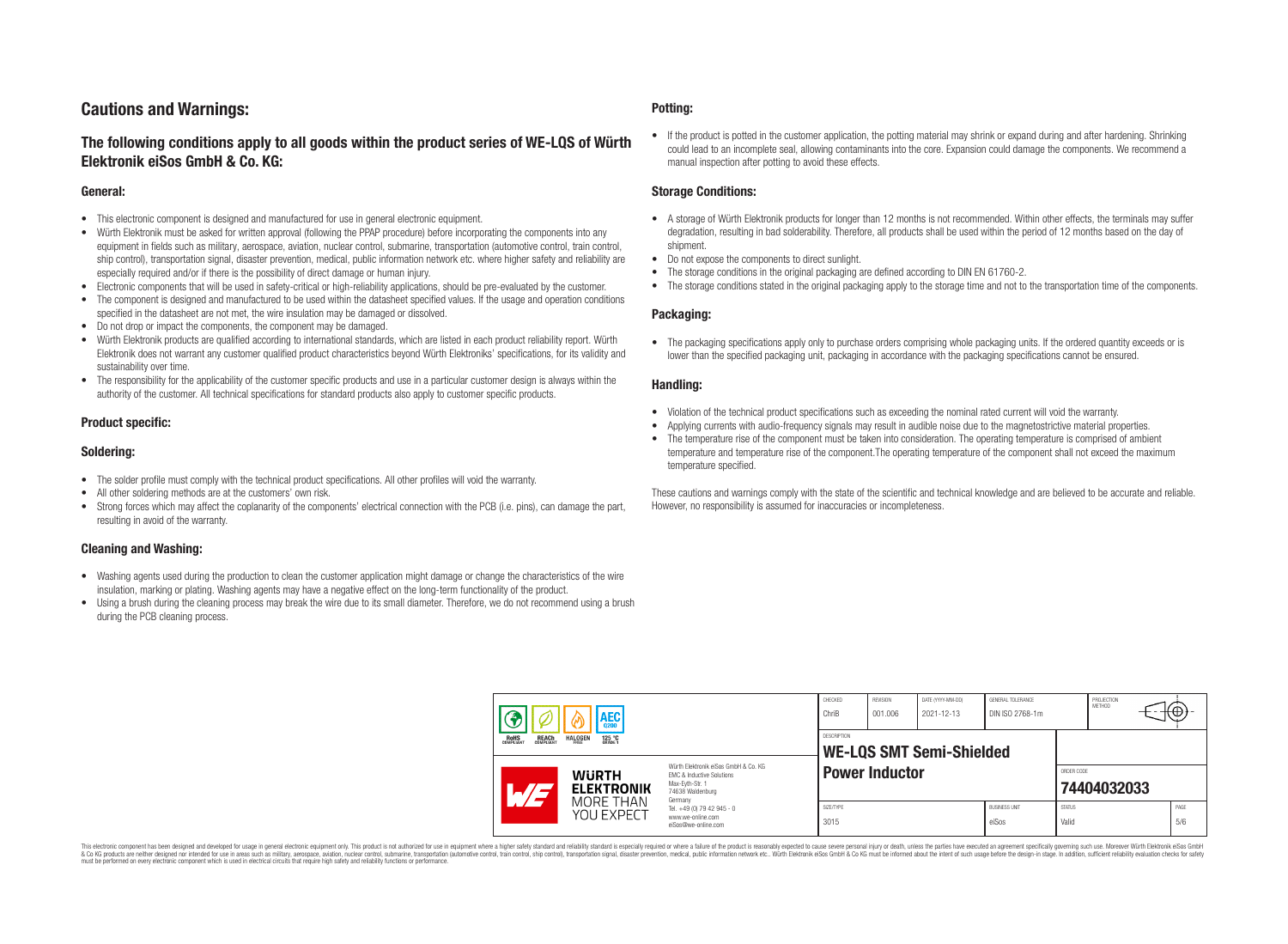## **Cautions and Warnings:**

## **The following conditions apply to all goods within the product series of WE-LQS of Würth Elektronik eiSos GmbH & Co. KG:**

#### **General:**

- This electronic component is designed and manufactured for use in general electronic equipment.
- Würth Elektronik must be asked for written approval (following the PPAP procedure) before incorporating the components into any equipment in fields such as military, aerospace, aviation, nuclear control, submarine, transportation (automotive control, train control, ship control), transportation signal, disaster prevention, medical, public information network etc. where higher safety and reliability are especially required and/or if there is the possibility of direct damage or human injury.
- Electronic components that will be used in safety-critical or high-reliability applications, should be pre-evaluated by the customer.
- The component is designed and manufactured to be used within the datasheet specified values. If the usage and operation conditions specified in the datasheet are not met, the wire insulation may be damaged or dissolved.
- Do not drop or impact the components, the component may be damaged.
- Würth Elektronik products are qualified according to international standards, which are listed in each product reliability report. Würth Elektronik does not warrant any customer qualified product characteristics beyond Würth Elektroniks' specifications, for its validity and sustainability over time.
- The responsibility for the applicability of the customer specific products and use in a particular customer design is always within the authority of the customer. All technical specifications for standard products also apply to customer specific products.

### **Product specific:**

#### **Soldering:**

- The solder profile must comply with the technical product specifications. All other profiles will void the warranty.
- All other soldering methods are at the customers' own risk.
- Strong forces which may affect the coplanarity of the components' electrical connection with the PCB (i.e. pins), can damage the part, resulting in avoid of the warranty.

### **Cleaning and Washing:**

- Washing agents used during the production to clean the customer application might damage or change the characteristics of the wire insulation, marking or plating. Washing agents may have a negative effect on the long-term functionality of the product.
- Using a brush during the cleaning process may break the wire due to its small diameter. Therefore, we do not recommend using a brush during the PCB cleaning process.

#### **Potting:**

• If the product is potted in the customer application, the potting material may shrink or expand during and after hardening. Shrinking could lead to an incomplete seal, allowing contaminants into the core. Expansion could damage the components. We recommend a manual inspection after potting to avoid these effects.

#### **Storage Conditions:**

- A storage of Würth Elektronik products for longer than 12 months is not recommended. Within other effects, the terminals may suffer degradation, resulting in bad solderability. Therefore, all products shall be used within the period of 12 months based on the day of shipment.
- Do not expose the components to direct sunlight.
- The storage conditions in the original packaging are defined according to DIN EN 61760-2.
- The storage conditions stated in the original packaging apply to the storage time and not to the transportation time of the components.

#### **Packaging:**

• The packaging specifications apply only to purchase orders comprising whole packaging units. If the ordered quantity exceeds or is lower than the specified packaging unit, packaging in accordance with the packaging specifications cannot be ensured.

#### **Handling:**

- Violation of the technical product specifications such as exceeding the nominal rated current will void the warranty.
- Applying currents with audio-frequency signals may result in audible noise due to the magnetostrictive material properties.
- The temperature rise of the component must be taken into consideration. The operating temperature is comprised of ambient temperature and temperature rise of the component.The operating temperature of the component shall not exceed the maximum temperature specified.

These cautions and warnings comply with the state of the scientific and technical knowledge and are believed to be accurate and reliable. However, no responsibility is assumed for inaccuracies or incompleteness.

| <b>AEC</b> |                                                                                              | CHECKED<br>ChriB                  | <b>REVISION</b><br>001.006                                                                                          | DATE (YYYY-MM-DD)<br>2021-12-13 | GENERAL TOLERANCE<br>DIN ISO 2768-1m |  | PROJECTION<br><b>METHOD</b>   |                        | ₩Ψ                        |  |             |  |
|------------|----------------------------------------------------------------------------------------------|-----------------------------------|---------------------------------------------------------------------------------------------------------------------|---------------------------------|--------------------------------------|--|-------------------------------|------------------------|---------------------------|--|-------------|--|
|            | <b>ROHS</b><br>COMPLIANT<br><b>REACH</b><br>COMPLIANT<br><b>HALOGEN</b><br>125 °C<br>GRADE 1 |                                   | <b>DESCRIPTION</b><br><b>WE-LQS SMT Semi-Shielded</b>                                                               |                                 |                                      |  |                               |                        |                           |  |             |  |
|            |                                                                                              | <b>WURTH</b><br><b>ELEKTRONIK</b> | Würth Elektronik eiSos GmbH & Co. KG<br>EMC & Inductive Solutions<br>Max-Eyth-Str. 1<br>74638 Waldenburg<br>Germany | <b>Power Inductor</b>           |                                      |  |                               |                        | ORDER CODE<br>74404032033 |  |             |  |
|            |                                                                                              | MORE THAN<br>YOU EXPECT           | Tel. +49 (0) 79 42 945 - 0<br>www.we-online.com<br>eiSos@we-online.com                                              | SIZE/TYPE<br>3015               |                                      |  | <b>BUSINESS UNIT</b><br>eiSos | <b>STATUS</b><br>Valid |                           |  | PAGE<br>5/6 |  |

This electronic component has been designed and developed for usage in general electronic equipment only. This product is not authorized for use in equipment where a higher safety standard and reliability standard si espec & Ook product a label and the membed of the seasuch as marked and as which such a membed and the such assume that income in the seasuch and the simulation and the such assume that include to the such a membed and the such